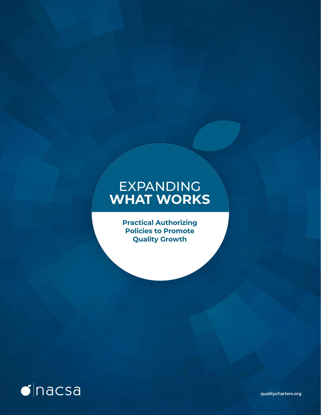# EXPANDING **WHAT WORKS**

**Practical Authorizing Policies to Promote Quality Growth**



**qualitycharters.org**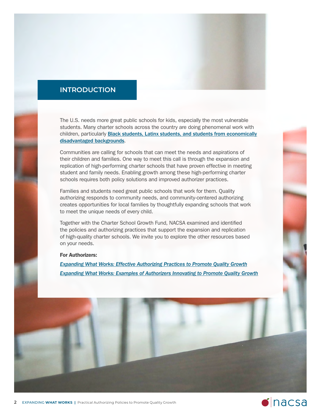

# **INTRODUCTION**

The U.S. needs more great public schools for kids, especially the most vulnerable students. Many charter schools across the country are doing phenomenal work with children, particularly **[Black students, Latinx students, and students from economically](http://urbancharters.stanford.edu/download/Urban%20Study%2041%20Region%20Workbook.pdf)** [disadvantaged b](http://urbancharters.stanford.edu/download/Urban%20Study%2041%20Region%20Workbook.pdf)ackgrounds.

Communities are calling for schools that can meet the needs and aspirations of their children and families. One way to meet this call is through the expansion and replication of high-performing charter schools that have proven effective in meeting student and family needs. Enabling growth among these high-performing charter schools requires both policy solutions and improved authorizer practices.

Families and students need great public schools that work for them. Quality authorizing responds to community needs, and community-centered authorizing creates opportunities for local families by thoughtfully expanding schools that work to meet the unique needs of every child.

Together with the Charter School Growth Fund, NACSA examined and identified the policies and authorizing practices that support the expansion and replication of high-quality charter schools. We invite you to explore the other resources based on your needs.

### For Authorizers:

*[Expanding What Works: Effective Authorizing Practices to Promote Quality Growth](https://qualitycharters.sabacloud.com/Saba/Web_spf/NA7P1PRD091/common/resources/resourcedetail/simrs000000000005321/true) [Expanding What Works: Examples of Authorizers Innovating to Promote Quality Growth](https://qualitycharters.sabacloud.com/Saba/Web_spf/NA7P1PRD091/common/resources/resourcedetail/simrs000000000005322/true)*

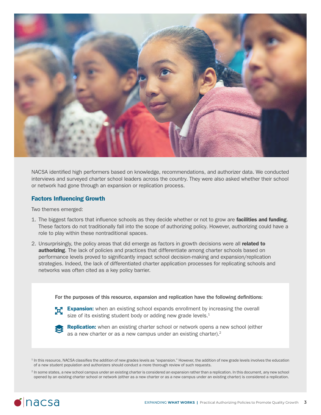

NACSA identified high performers based on knowledge, recommendations, and authorizer data. We conducted interviews and surveyed charter school leaders across the country. They were also asked whether their school or network had gone through an expansion or replication process.

### Factors Influencing Growth

Two themes emerged:

- 1. The biggest factors that influence schools as they decide whether or not to grow are **facilities and funding**. These factors do not traditionally fall into the scope of authorizing policy. However, authorizing could have a role to play within these nontraditional spaces.
- 2. Unsurprisingly, the policy areas that did emerge as factors in growth decisions were all **related to authorizing**. The lack of policies and practices that differentiate among charter schools based on performance levels proved to significantly impact school decision-making and expansion/replication strategies. Indeed, the lack of differentiated charter application processes for replicating schools and networks was often cited as a key policy barrier.

For the purposes of this resource, expansion and replication have the following definitions:



**Expansion:** when an existing school expands enrollment by increasing the overall size of its existing student body or adding new grade levels. $1$ 



Replication: when an existing charter school or network opens a new school (either as a new charter or as a new campus under an existing charter). $2$ 

 $1$  In this resource, NACSA classifies the addition of new grades levels as "expansion." However, the addition of new grade levels involves the education of a new student population and authorizers should conduct a more thorough review of such requests.

<sup>2</sup> In some states, a new school campus under an existing charter is considered an expansion rather than a replication. In this document, any new school opened by an existing charter school or network (either as a new charter or as a new campus under an existing charter) is considered a replication.

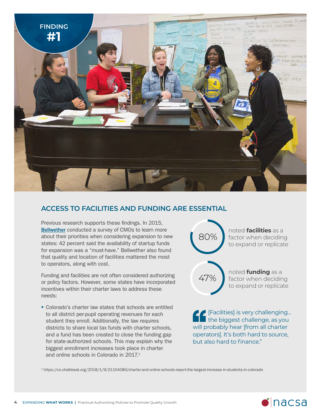

# **ACCESS TO FACILITIES AND FUNDING ARE ESSENTIAL**

Previous research supports these findings. In 2015, **[Bellwether](https://www.excelined.org/downloads/bellwether-education-partners-cmo-survey-presentation-october-2015/)** conducted a survey of CMOs to learn more about their priorities when considering expansion to new states: 42 percent said the availability of startup funds for expansion was a "must-have." Bellwether also found that quality and location of facilities mattered the most to operators, along with cost.

Funding and facilities are not often considered authorizing or policy factors. However, some states have incorporated incentives within their charter laws to address these needs:

 Colorado's charter law states that schools are entitled to all district per-pupil operating revenues for each student they enroll. Additionally, the law requires districts to share local tax funds with charter schools, and a fund has been created to close the funding gap for state-authorized schools. This may explain why the biggest enrollment increases took place in charter and online schools in Colorado in 2017.1



[Facilities] is very challenging… the biggest challenge, as you will probably hear [from all charter operators]. It's both hard to source, but also hard to finance."

<sup>1</sup> https://co.chalkbeat.org/2018/1/9/21104080/charter-and-online-schools-report-the-largest-increase-in-students-in-colorado

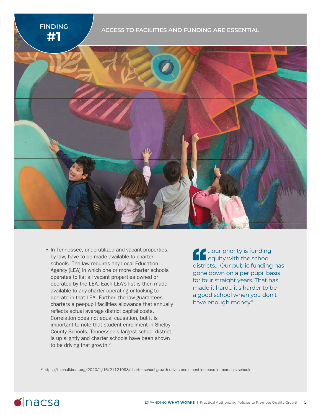



**In Tennessee, underutilized and vacant properties,** by law, have to be made available to charter schools. The law requires any Local Education Agency (LEA) in which one or more charter schools operates to list all vacant properties owned or operated by the LEA. Each LEA's list is then made available to any charter operating or looking to operate in that LEA. Further, the law guarantees charters a per-pupil facilities allowance that annually reflects actual average district capital costs. Correlation does not equal causation, but it is important to note that student enrollment in Shelby County Schools, Tennessee's largest school district, is up slightly and charter schools have been shown to be driving that growth.<sup>2</sup>

…our priority is funding equity with the school districts… Our public funding has gone down on a per pupil basis for four straight years. That has made it hard… it's harder to be a good school when you don't have enough money."

<sup>2</sup> https://tn.chalkbeat.org/2020/1/16/21121098/charter-school-growth-drives-enrollment-increase-in-memphis-schools

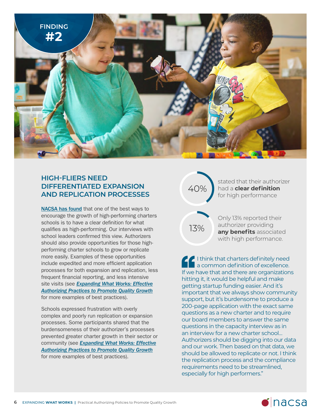

## **HIGH-FLIERS NEED DIFFERENTIATED EXPANSION AND REPLICATION PROCESSES**

[NACSA has found](https://www.qualitycharters.org/state-policy/growing-high-performing-charters/) that one of the best ways to encourage the growth of high-performing charters schools is to have a clear definition for what qualifies as high-performing. Our interviews with school leaders confirmed this view. Authorizers should also provide opportunities for those highperforming charter schools to grow or replicate more easily. Examples of these opportunities include expedited and more efficient application processes for both expansion and replication, less frequent financial reporting, and less intensive site visits (see *Expanding What Works: Effective [Authorizing Practices to Promote Quality Growth](https://qualitycharters.sabacloud.com/Saba/Web_spf/NA7P1PRD091/common/resources/resourcedetail/simrs000000000005321/true)* for more examples of best practices).

Schools expressed frustration with overly complex and poorly run replication or expansion processes. Some participants shared that the burdensomeness of their authorizer's processes prevented greater charter growth in their sector or community (see *[Expanding What Works: Effective](https://qualitycharters.sabacloud.com/Saba/Web_spf/NA7P1PRD091/common/resources/resourcedetail/simrs000000000005321/true) [Authorizing Practi](https://qualitycharters.sabacloud.com/Saba/Web_spf/NA7P1PRD091/common/resources/resourcedetail/simrs000000000005321/true)ces to Promote Quality Growth* for more examples of best practices).

# 40%

stated that their authorizer had a **clear definition** for high performance

13%

Only 13% reported their authorizer providing **any benefits** associated with high performance.

I think that charters definitely need a common definition of excellence. If we have that and there are organizations hitting it, it would be helpful and make getting startup funding easier. And it's important that we always show community support, but it's burdensome to produce a 200-page application with the exact same questions as a new charter and to require our board members to answer the same questions in the capacity interview as in an interview for a new charter school… Authorizers should be digging into our data and our work. Then based on that data, we should be allowed to replicate or not. I think the replication process and the compliance requirements need to be streamlined, especially for high performers."

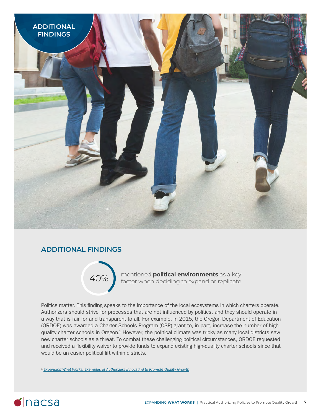

# **ADDITIONAL FINDINGS**



mentioned **political environments** as a key factor when deciding to expand or replicate

Politics matter. This finding speaks to the importance of the local ecosystems in which charters operate. Authorizers should strive for processes that are not influenced by politics, and they should operate in a way that is fair for and transparent to all. For example, in 2015, the Oregon Department of Education (ORDOE) was awarded a Charter Schools Program (CSP) grant to, in part, increase the number of highquality charter schools in Oregon.<sup>1</sup> However, the political climate was tricky as many local districts saw new charter schools as a threat. To combat these challenging political circumstances, ORDOE requested and received a flexibility waiver to provide funds to expand existing high-quality charter schools since that would be an easier political lift within districts.

<sup>1</sup> *[Expanding What Works: Examples of Authorizers Innovating to Promote Quality Growth](https://qualitycharters.sabacloud.com/Saba/Web_spf/NA7P1PRD091/common/resources/resourcedetail/simrs000000000005322/true)*

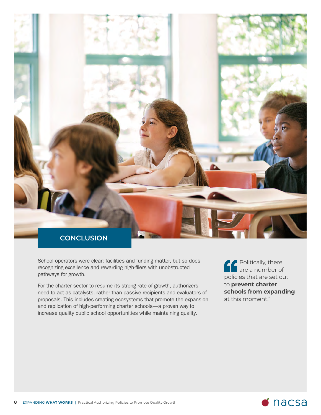

School operators were clear: facilities and funding matter, but so does recognizing excellence and rewarding high-fliers with unobstructed pathways for growth.

For the charter sector to resume its strong rate of growth, authorizers need to act as catalysts, rather than passive recipients and evaluators of proposals. This includes creating ecosystems that promote the expansion and replication of high-performing charter schools—a proven way to increase quality public school opportunities while maintaining quality.

Politically, there are a number of policies that are set out to **prevent charter schools from expanding** at this moment."

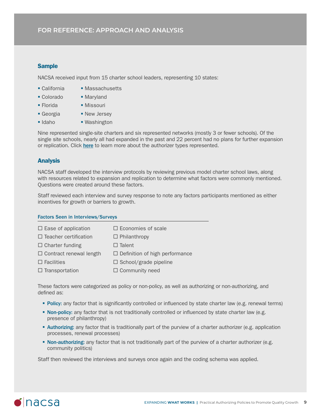### **Sample**

NACSA received input from 15 charter school leaders, representing 10 states:

- 
- California Massachusetts
- Colorado Maryland
- Florida Missouri
- Georgia New Jersey
- Idaho Washington

Nine represented single-site charters and six represented networks (mostly 3 or fewer schools). Of the single site schools, nearly all had expanded in the past and 22 percent had no plans for further expansion or replication. Click [here](https://www.qualitycharters.org/authorizer-types/) to learn more about the authorizer types represented.

### Analysis

NACSA staff developed the interview protocols by reviewing previous model charter school laws, along with resources related to expansion and replication to determine what factors were commonly mentioned. Questions were created around these factors.

Staff reviewed each interview and survey response to note any factors participants mentioned as either incentives for growth or barriers to growth.

#### Factors Seen in Interviews/Surveys

| $\Box$ Ease of application     | $\Box$ Economies of scale             |
|--------------------------------|---------------------------------------|
| $\Box$ Teacher certification   | $\Box$ Philanthropy                   |
| $\Box$ Charter funding         | $\Box$ Talent                         |
| $\Box$ Contract renewal length | $\Box$ Definition of high performance |
| $\Box$ Facilities              | $\Box$ School/grade pipeline          |
| $\Box$ Transportation          | $\Box$ Community need                 |

These factors were categorized as policy or non-policy, as well as authorizing or non-authorizing, and defined as:

- Policy: any factor that is significantly controlled or influenced by state charter law (e.g. renewal terms)
- **Non-policy:** any factor that is not traditionally controlled or influenced by state charter law (e.g. presence of philanthropy)
- **Authorizing:** any factor that is traditionally part of the purview of a charter authorizer (e.g. application processes, renewal processes)
- Non-authorizing: any factor that is not traditionally part of the purview of a charter authorizer (e.g. community politics)

Staff then reviewed the interviews and surveys once again and the coding schema was applied.